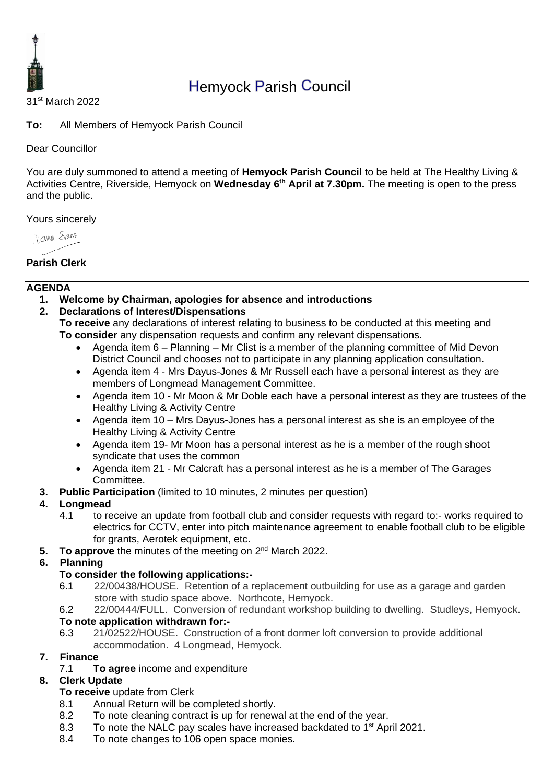

# Hemyock Parish Council

31st March 2022

**To:** All Members of Hemyock Parish Council

Dear Councillor

You are duly summoned to attend a meeting of **Hemyock Parish Council** to be held at The Healthy Living & Activities Centre, Riverside, Hemyock on **Wednesday 6 th April at 7.30pm.** The meeting is open to the press and the public.

Yours sincerely

Jame Stans

## **Parish Clerk**

## **AGENDA**

**1. Welcome by Chairman, apologies for absence and introductions**

## **2. Declarations of Interest/Dispensations**

**To receive** any declarations of interest relating to business to be conducted at this meeting and **To consider** any dispensation requests and confirm any relevant dispensations.

- Agenda item 6 Planning Mr Clist is a member of the planning committee of Mid Devon District Council and chooses not to participate in any planning application consultation.
- Agenda item 4 Mrs Dayus-Jones & Mr Russell each have a personal interest as they are members of Longmead Management Committee.
- Agenda item 10 Mr Moon & Mr Doble each have a personal interest as they are trustees of the Healthy Living & Activity Centre
- Agenda item 10 Mrs Dayus-Jones has a personal interest as she is an employee of the Healthy Living & Activity Centre
- Agenda item 19- Mr Moon has a personal interest as he is a member of the rough shoot syndicate that uses the common
- Agenda item 21 Mr Calcraft has a personal interest as he is a member of The Garages Committee.
- **3. Public Participation** (limited to 10 minutes, 2 minutes per question)

## **4. Longmead**

- 4.1 to receive an update from football club and consider requests with regard to:- works required to electrics for CCTV, enter into pitch maintenance agreement to enable football club to be eligible for grants, Aerotek equipment, etc.
- 5. To approve the minutes of the meeting on 2<sup>nd</sup> March 2022.
- **6. Planning**

# **To consider the following applications:-**

- 6.1 22/00438/HOUSE. Retention of a replacement outbuilding for use as a garage and garden store with studio space above. Northcote, Hemyock.
- 6.2 22/00444/FULL. Conversion of redundant workshop building to dwelling. Studleys, Hemyock.

## **To note application withdrawn for:-**

6.3 21/02522/HOUSE. Construction of a front dormer loft conversion to provide additional accommodation. 4 Longmead, Hemyock.

# **7. Finance**

7.1 **To agree** income and expenditure

# **8. Clerk Update**

# **To receive** update from Clerk

- 8.1 Annual Return will be completed shortly.
- 8.2 To note cleaning contract is up for renewal at the end of the year.
- 8.3 To note the NALC pay scales have increased backdated to 1<sup>st</sup> April 2021.
- 8.4 To note changes to 106 open space monies.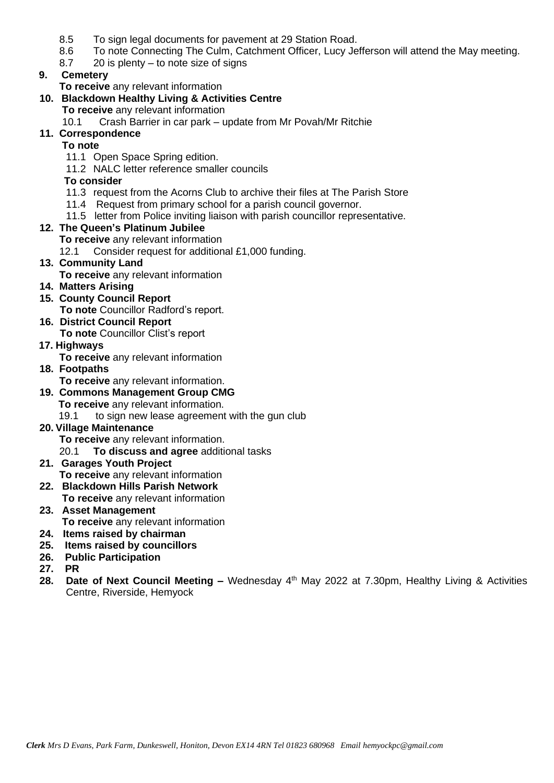- 8.5 To sign legal documents for pavement at 29 Station Road.
- 8.6 To note Connecting The Culm, Catchment Officer, Lucy Jefferson will attend the May meeting.
- 8.7 20 is plenty to note size of signs

## **9. Cemetery**

**To receive** any relevant information

#### **10. Blackdown Healthy Living & Activities Centre**

- **To receive** any relevant information
- 10.1 Crash Barrier in car park update from Mr Povah/Mr Ritchie

## **11. Correspondence**

#### **To note**

- 11.1 Open Space Spring edition.
- 11.2 NALC letter reference smaller councils

#### **To consider**

- 11.3 request from the Acorns Club to archive their files at The Parish Store
- 11.4 Request from primary school for a parish council governor.
- 11.5 letter from Police inviting liaison with parish councillor representative.

## **12. The Queen's Platinum Jubilee**

- **To receive** any relevant information
- 12.1 Consider request for additional £1,000 funding.

## **13. Community Land**

- **To receive** any relevant information
- **14. Matters Arising**
- **15. County Council Report To note** Councillor Radford's report.
- **16. District Council Report**

**To note** Councillor Clist's report

- **17. Highways**
	- **To receive** any relevant information
- **18. Footpaths**

**To receive** any relevant information.

- **19. Commons Management Group CMG**
	- **To receive** any relevant information.
	- 19.1 to sign new lease agreement with the gun club
- **20. Village Maintenance**
	- **To receive** any relevant information.
	- 20.1 **To discuss and agree** additional tasks
- **21. Garages Youth Project To receive** any relevant information
- **22. Blackdown Hills Parish Network To receive** any relevant information
- **23. Asset Management To receive** any relevant information
- **24. Items raised by chairman**
- **25. Items raised by councillors**
- **26. Public Participation**
- **27. PR**
- 28. Date of Next Council Meeting Wednesday 4<sup>th</sup> May 2022 at 7.30pm, Healthy Living & Activities Centre, Riverside, Hemyock